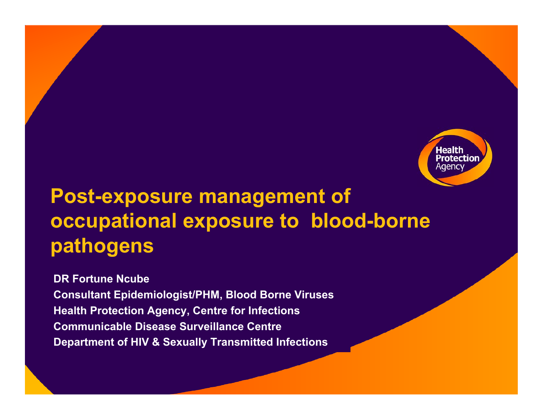

### **Post-exposure management of occupational exposure to blood-borne pathogens**

**DR Fortune NcubeConsultant Epidemiologist/PHM, Blood Borne Viruses Health Protection Age ncy, Centre for Infections Communicable Disease Surveillance CentreDepartment of HIV & Sex ually Transmitted Infections**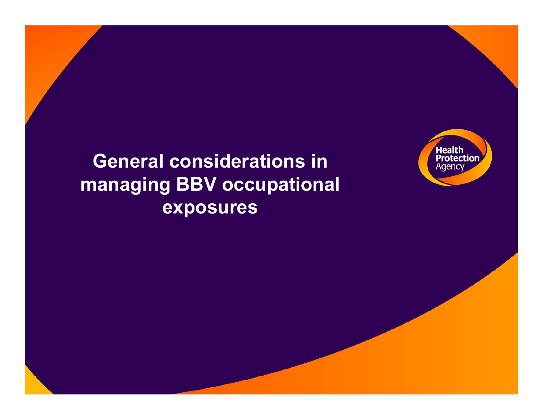

### **General considerations in managing BBV occupational exposures**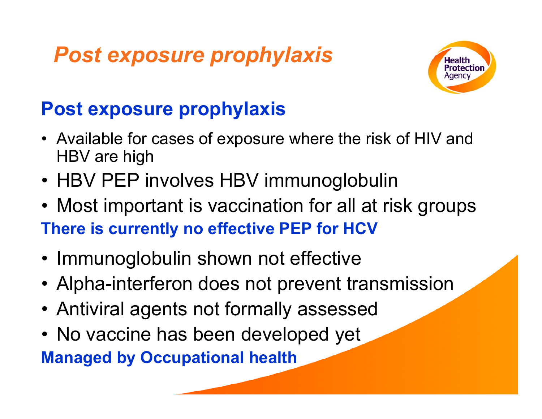### *Post exposure prophylaxis*



### **Post exposure prophylaxis**

- Available for cases of exposure where the risk of HIV and HBV are high
- HBV PEP involves HBV immunoglobulin
- Most important is vaccination for all at risk groups **There is currently no effective PEP for HCV**
- Immunoglobulin shown not effective
- Alpha-interferon does not prevent transmission
- Antiviral agents not formally assessed
- No vaccine has been developed yet

**Managed by Occupational health**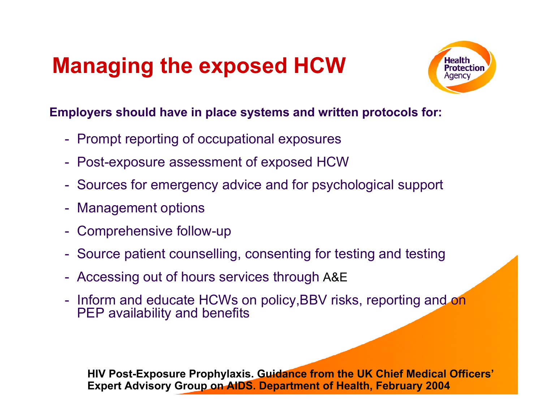# **Managing the exposed HCW**



#### **Employers should have in place systems and written protocols for:**

- Prompt reporting of occupational exposures
- Post-exposure assessment of exposed HCW
- Sources for emergency advice and for psychological support
- Management options
- Comprehensive follow-up
- Source patient counselling, consenting for testing and testing
- Accessing out of hours services through A&E
- Inform and educate HCWs on policy,BBV risks, reporting and on PEP availability and benefits

**HIV Post-Exposure Prophylaxis. Guidance from the UK Chief Medical O fficers' Expert Advisory Group on AIDS. Department of Healt h, February 2004**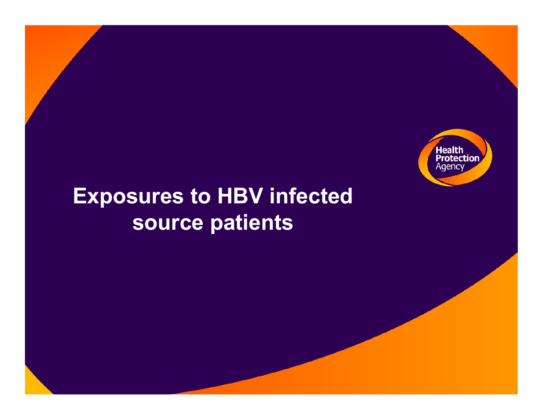

### **Exposures to HBV infected source patients**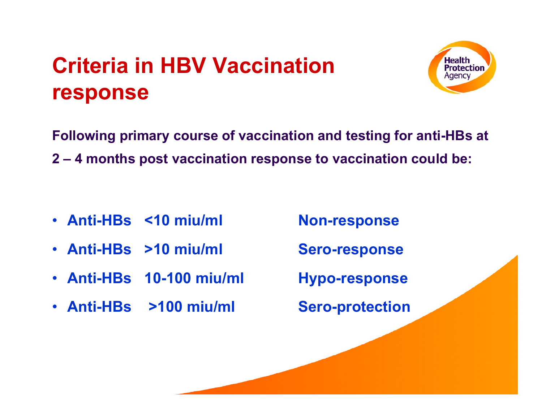## **Criteria in HBV Vaccination response**



**Following primary course of vaccination and testing for anti-HBs at 2 – 4 months post vaccination response to vaccination could be:**

- **Anti-HBs <10**
- **Anti-HBs >10**
- **Anti-HBs 10-100**
- **Anti-HBs >100**

**Non-response** 

**Sero-response** 

**miu/ml Hypo-response** 

**Sero-protection**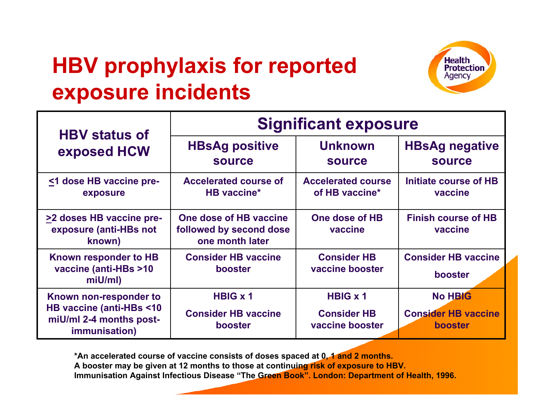# **HBV prophylaxis for reported exposure incidents**



| <b>HBV status of</b>                                                                                  | <b>Significant exposure</b>                                          |                                                          |                                                                |  |
|-------------------------------------------------------------------------------------------------------|----------------------------------------------------------------------|----------------------------------------------------------|----------------------------------------------------------------|--|
| exposed HCW                                                                                           | <b>HBsAg positive</b><br><b>source</b>                               | <b>Unknown</b><br><b>source</b>                          | <b>HBsAg negative</b><br><b>source</b>                         |  |
| <1 dose HB vaccine pre-<br>exposure                                                                   | <b>Accelerated course of</b><br><b>HB</b> vaccine*                   | <b>Accelerated course</b><br>of HB vaccine*              | Initiate course of HB<br>vaccine                               |  |
| >2 doses HB vaccine pre-<br>exposure (anti-HBs not<br>known)                                          | One dose of HB vaccine<br>followed by second dose<br>one month later | One dose of HB<br>vaccine                                | <b>Finish course of HB</b><br>vaccine                          |  |
| Known responder to HB<br>vaccine (anti-HBs >10<br>miU/ml)                                             | <b>Consider HB vaccine</b><br>booster                                | <b>Consider HB</b><br>vaccine booster                    | <b>Consider HB vaccine</b><br>booster                          |  |
| Known non-responder to<br>HB vaccine (anti-HBs <10<br>miU/ml 2-4 months post-<br><i>immunisation)</i> | <b>HBIG x 1</b><br><b>Consider HB vaccine</b><br>booster             | <b>HBIG x 1</b><br><b>Consider HB</b><br>vaccine booster | <b>No HBIG</b><br><b>Consider HB vaccine</b><br><b>booster</b> |  |

**\*An accelerated course of vaccine consists of d oses spaced at 0, 1 and 2 months. A booster may be given at 1 2 months to those at c onti nuing ris k of exposure to HBV.** Immunisation Against Infectious Disease "The Green Book". London: Department of Health, 1996.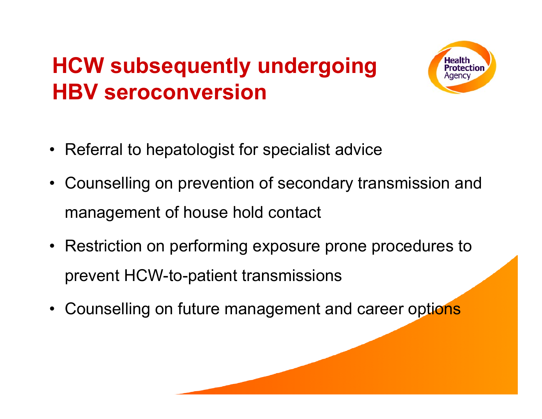# **HCW subsequently undergoing HBV seroconversion**



- Referral to hepatologist for specialist advice
- Counselling on prevention of secondary transmission and management of house hold contact
- Restriction on performing exposure prone procedures to prevent HCW-to-patient transmissions
- Counselling on future management and career options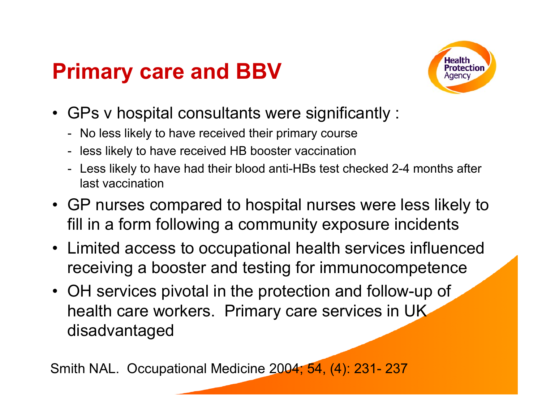### **Primary care and BBV**



- GPs v hospital consultants were significantly :
	- No less likely to have received their primary course
	- less likely to have received HB booster vaccination
	- $\overline{\phantom{a}}$  Less likely to have had their blood anti-HBs test checked 2-4 months after last vaccination
- GP nurses compared to hospital nurses were less likely to fill in a form following a community exposure incidents
- Limited access to occupational health services influenced receiving a booster and testing for immunocompetence
- OH services pivotal in the protection and follow-up of health care workers. Primary care services in UK disadvantaged

Smith NAL. Occupational Medicine 2004; 54, (4): 231- 237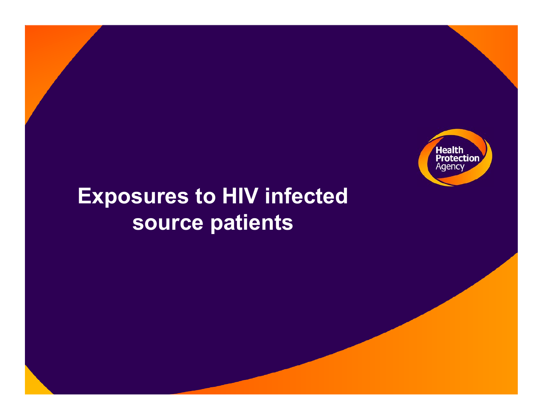

### **Exposures to HIV infected source patients**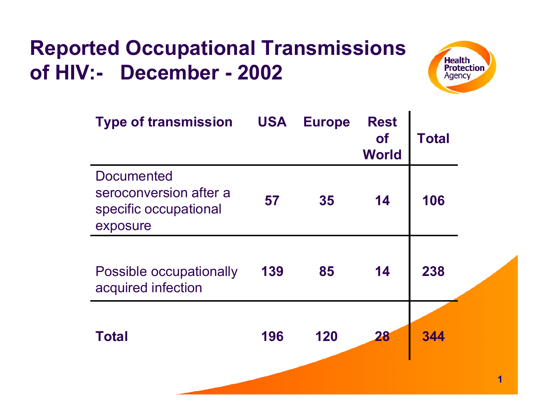### **Reported Occupational Transmissions of HIV:- December - 2002**



| <b>Type of transmission</b>                                                      | <b>USA</b> | <b>Europe</b> | <b>Rest</b><br><b>of</b><br><b>World</b> | <b>Total</b> |
|----------------------------------------------------------------------------------|------------|---------------|------------------------------------------|--------------|
| <b>Documented</b><br>seroconversion after a<br>specific occupational<br>exposure | 57         | 35            | 14                                       | 106          |
| <b>Possible occupationally</b><br>acquired infection                             | 139        | 85            | 14                                       | 238          |
| <b>Total</b>                                                                     | 196        | 120           | 28                                       | 344          |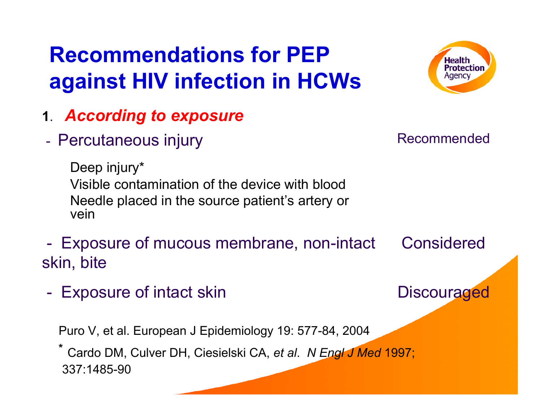# **Recommendations for PEP against HIV infection in HCWs**



- **<sup>1</sup>**. *According to exposure*
- Percutaneous injury and a secommended

Deep injury\* Visible contamination of the device with blood Needle placed in the source patient's artery or vein

- Exposure of mucous membrane, non-intact Considered skin, bite
	- Exposure of intact skin Discouraged

Puro V, et al. European J Epidemiology 19: 577-84, 2004

**\***Cardo DM, Culver DH, Ciesielski CA, *et al*. *N Engl J Med* 1997; 337:1485-90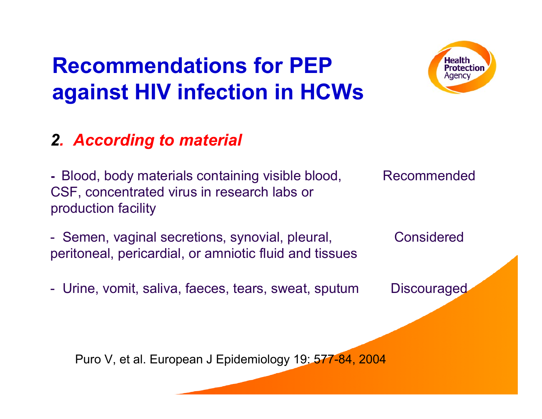# **Recommendations for PEP against HIV infection in HCWs**



### *2. According to material*

- Blood, body materials containing visible blood, Recommended CSF, concentrated virus in research labs or production facility

- Semen, vaginal secretions, synovial, pleural, Considered peritoneal, pericardial, or amniotic fluid and tissues

- Urine, vomit, saliva, faeces, tears, sweat, sputum Discouraged

Puro V, et al. European J Epidemiology 19: 577-84, 2004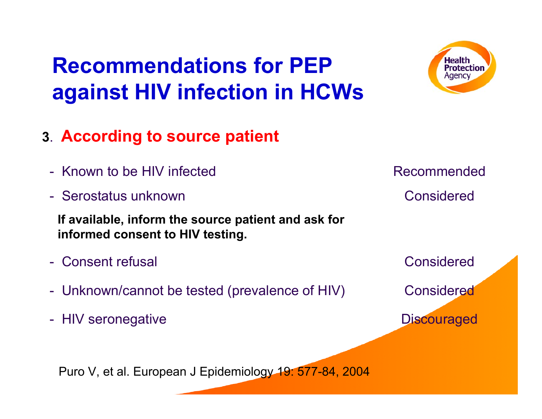# **Recommendations for PEP against HIV infection in HCWs**



- **<sup>3</sup>**. **According to source patient**
	- Known to be HIV infected
	- -Serostatus unknown

**If available, inform the source patient and ask for informed consent to HIV testing.** 

- -Consent refusal
- Unknown/cannot be tested (prevalence of HIV) Considered
- HIV seronegative and a series of the Discouraged

Puro V, et al. European J Epidemiology 19: 577-84, 2004

 Considered Recommended

Considered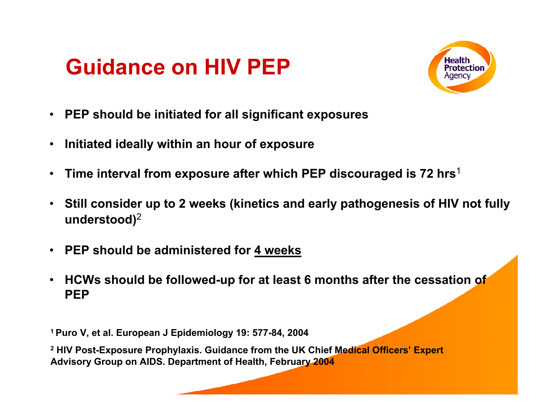### **Guidance on HIV PEP**



- •**PEP should be initiated for all significant exposures**
- •**Initiated ideally within an hour of exposure**
- •**Time interval from exposure after which PEP discouraged is 72 hrs**<sup>1</sup>
- $\bullet$  **Still consider up to 2 weeks (kinetics and early pathogenesis of HIV not fully understood)** 2
- $\bullet$ **PEP should be administered for 4 weeks**
- $\bullet$  **HCWs should be followed-up for at least 6 months after the cessation of PEP**

**1 Puro V, et al. European J Epidemiology 19: 577-84, 2004**

**2 HIV Post-Exposure Prophylaxis. Guidance from the UK Chief Medical Officers' Expert Advisory Group on AIDS. Department of Health, February 2004**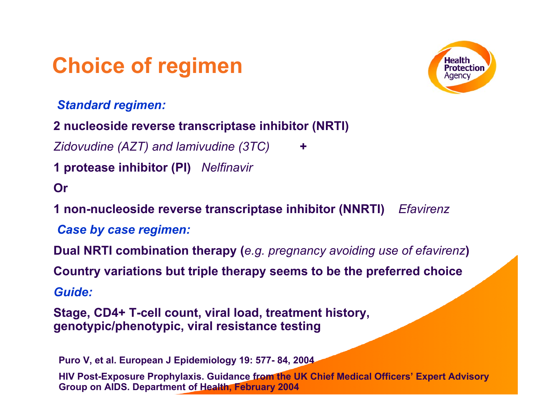### **Choice of regimen**

*Standard regimen:*



**2 nucleoside reverse transcriptase inhibitor (NRTI)**

*Zidovudine (AZT) and lamivudine (3TC)* **+**

**1 protease inhibitor (PI)** *Nelfinavir*

#### **Or**

**1 non-nucleoside reverse transcriptase inhibitor (NNRTI)** *Efavirenz*

*Case by case regimen:*

**Dual NRTI combination therapy (***e.g. pregnancy avoiding use of efavirenz***)**

**Country variations but triple therapy seems to be the preferred choice**

*Guide:*

**Stage, CD4+ T-cell count, viral load, treatment history, genotypic/phenotypic, viral resistance testing** 

**Puro V, et al. European J Epidemiolog y 19: 577- 84, 2004**

**HIV Post-Expo sure Prophylaxis. Guidance from the UK Chief Medical Officers' Expert A dvisory Group on AIDS. Department of Health, February 2004**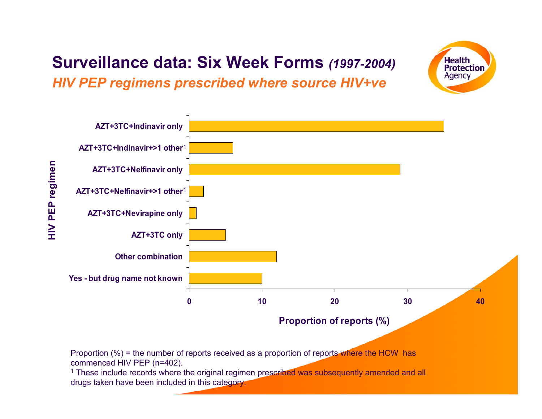### **Surveillance data: Six Week Forms** *(1997-2004)*

**Health Protection** Agency

*HIV PEP regimens prescribed where source HIV+ve*



Proportion (%) = the number of reports received as a proportion of reports where the HCW has commenc e d HIV PEP (n= 4 0 2).

<sup>1</sup> These include records where the original regimen prescribed was subsequently amended and all drugs taken have been included in this category.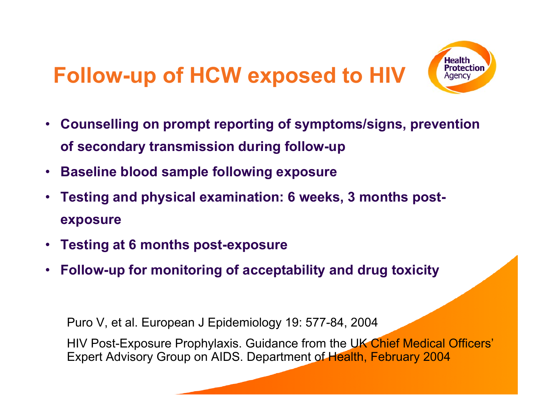# **Follow-up of HCW exposed to HIV**



- • **Counselling on prompt reporting of symptoms/signs, prevention of secondary transmission during follow-up**
- $\bullet$ **Baseline blood sample following exposure**
- • **Testing and physical examination: 6 weeks, 3 months postexposure**
- **Testing at 6 months post-expo sure**
- •**Follow-up for monitoring of acceptability and drug toxicity**

Puro V, et al. European J Epidemiology 19: 577-84, 2004

HIV Post-Exposure Prophylaxis. Guidance from the UK Chief Medical Officers' Expert Advisory Group on AIDS. Department of Health, February 2004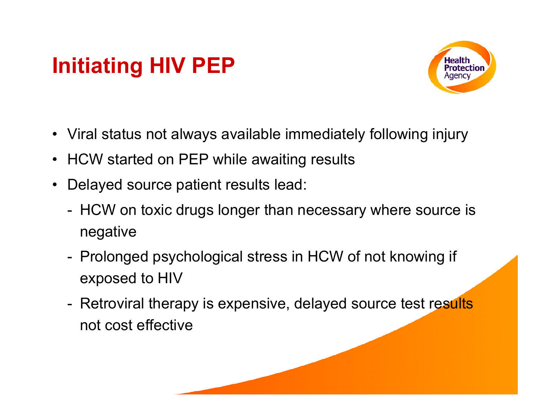# **Initiating HIV PEP**



- Viral status not always available immediately following injury
- HCW started on PEP while awaiting results
- •Delayed source patient results lead:
	- - HCW on toxic drugs longer than necessary where source is negative
	- Prolonged psychological stress in HCW of not knowing if exposed to HIV
	- Retroviral therapy is expensive, delayed source test results not cost effective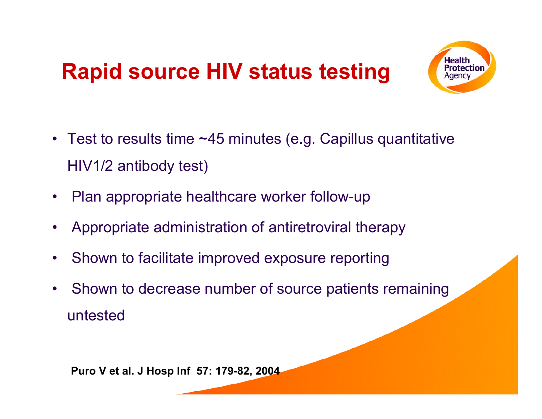## **Rapid source HIV status testing**



- Test to results time ~45 minutes (e.g. Capillus quantitative HIV1/2 antibody test)
- $\bullet$ Plan appropriate healthcare worker follow-up
- $\bullet$ Appropriate administration of antiretroviral therapy
- $\bullet$ Shown to facilitate improved exposure reporting
- •Shown to decrease number of source patients remaining untested

**Puro V et al. J Hosp Inf 57: 179-82, 2004**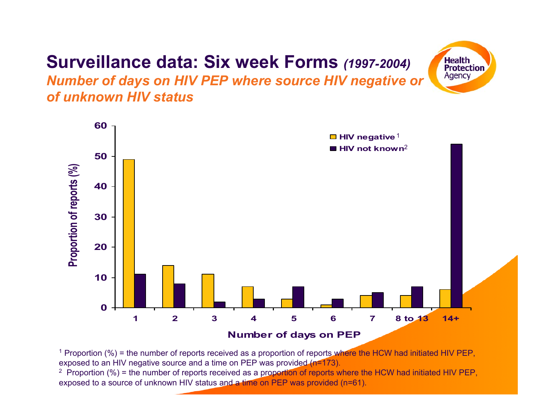### **Surveillance data: Six week Forms** *(1997-2004)*

**Health Protection** Agency

*Number of days on HIV PEP where source HIV negative or of unknown HIV status*



<sup>1</sup> Proportion (%) = the number of reports received as a proportion of reports where the HCW had initiated HIV PEP, exposed to an HIV negative source and a time on PEP was provided (n=173).<br><sup>2</sup>. Proportion (%) = the number of reports resolved as a prop**ortion of reports** w

<sup>2</sup> Proportion (%) = the number of reports received as a proportion of reports where the HCW had initiated HIV PEP, exposed to a source of unknown HIV status and a time on PEP was provided (n=61).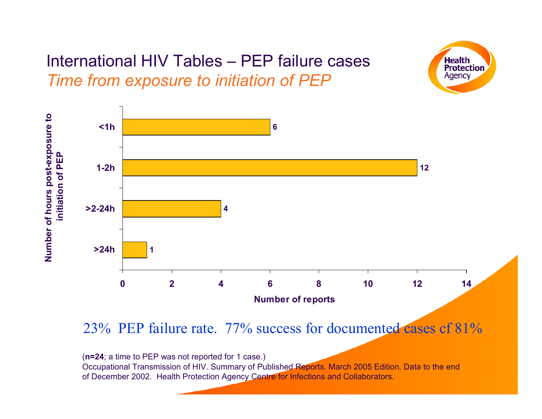### International HIV Tables – PEP failure cases *Time from exposure to initiation of PEP*



**Health Protection** Agency

23% PEP failure rate. 77% success for documented cases of 81%

(**n=24**; a time to PEP was not reported for 1 case.)

Occupational Transmission of HIV. Summary of Published Reports. March 2005 Edition. Data to the end of December 2002. Health Protection Agency Centre for Infections and Collaborators.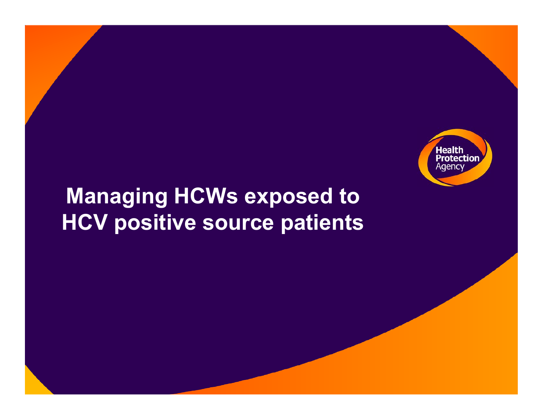

### **Managing HCWs exposed to HCV positive source patients**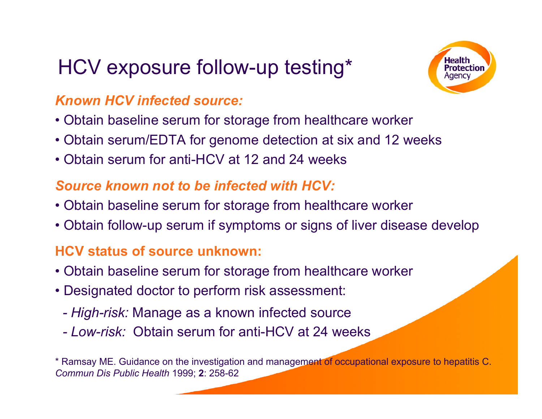### HCV exposure follow-up testing\*



#### *Known HCV infected source:*

- Obtain baseline serum for storage from healthcare worker
- Obtain serum/EDTA for genome detection at six and 12 weeks
- •Obtain serum for anti-HCV at 12 and 24 weeks

### *Source known not to be infected with HCV:*

- Obtain baseline serum for storage from healthcare worker
- Obtain follow-up serum if symptoms or signs of liver disease develop

#### **HCV status of source unknown:**

- Obtain baseline serum for storage from healthcare worker
- Designated doctor to perform risk assessment:
	- *- High-risk:* Manage as a known infected source
	- *- Low-risk:* Obtain serum for anti-HCV at 24 weeks

\* Ramsay ME. Guidance on the investigation and management of occupational exposure to hepatitis C. *Commun Dis Public Health* 1999; **2**: 258-62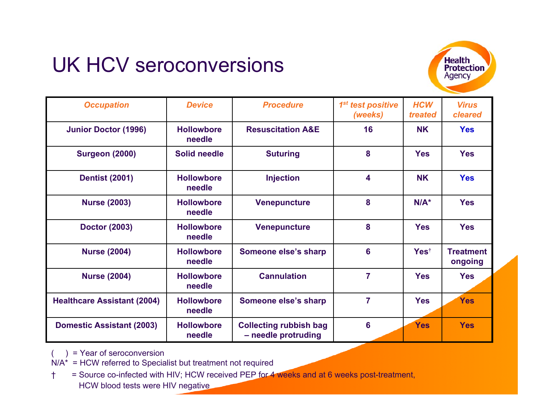### UK HCV seroconversions



| <b>Occupation</b>                  | <b>Device</b>               | <b>Procedure</b>                                     | 1 <sup>st</sup> test positive<br>(weeks) | <b>HCW</b><br>treated | <b>Virus</b><br>cleared     |
|------------------------------------|-----------------------------|------------------------------------------------------|------------------------------------------|-----------------------|-----------------------------|
| <b>Junior Doctor (1996)</b>        | <b>Hollowbore</b><br>needle | <b>Resuscitation A&amp;E</b>                         | 16                                       | <b>NK</b>             | <b>Yes</b>                  |
| <b>Surgeon (2000)</b>              | <b>Solid needle</b>         | <b>Suturing</b>                                      | 8                                        | <b>Yes</b>            | <b>Yes</b>                  |
| <b>Dentist (2001)</b>              | <b>Hollowbore</b><br>needle | <b>Injection</b>                                     | $\overline{\mathbf{4}}$                  | <b>NK</b>             | <b>Yes</b>                  |
| <b>Nurse (2003)</b>                | <b>Hollowbore</b><br>needle | <b>Venepuncture</b>                                  | 8                                        | $N/A^*$               | <b>Yes</b>                  |
| <b>Doctor (2003)</b>               | <b>Hollowbore</b><br>needle | <b>Venepuncture</b>                                  | 8                                        | <b>Yes</b>            | <b>Yes</b>                  |
| <b>Nurse (2004)</b>                | <b>Hollowbore</b><br>needle | Someone else's sharp                                 | 6                                        | Yes <sup>t</sup>      | <b>Treatment</b><br>ongoing |
| <b>Nurse (2004)</b>                | <b>Hollowbore</b><br>needle | <b>Cannulation</b>                                   | $\overline{7}$                           | <b>Yes</b>            | <b>Yes</b>                  |
| <b>Healthcare Assistant (2004)</b> | <b>Hollowbore</b><br>needle | Someone else's sharp                                 | $\overline{7}$                           | <b>Yes</b>            | <b>Yes</b>                  |
| <b>Domestic Assistant (2003)</b>   | <b>Hollowbore</b><br>needle | <b>Collecting rubbish bag</b><br>- needle protruding | $6\phantom{1}6$                          | <b>Yes</b>            | <b>Yes</b>                  |

 $( )$  = Year of seroconversion

N/A\* = HCW referred to Speci alist but treatment not required

<sup>†</sup> = Source co-infected with HIV; HCW received PEP for 4 weeks and at 6 weeks post-treatment, HCW blood tests were HIV negative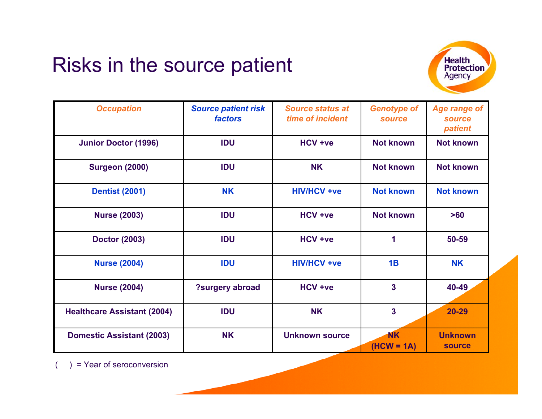### Risks in the source patient



| <b>Occupation</b>                  | <b>Source patient risk</b><br><b>factors</b> | <b>Source status at</b><br>time of incident | <b>Genotype of</b><br><b>source</b> | <b>Age range of</b><br><b>source</b><br>patient |
|------------------------------------|----------------------------------------------|---------------------------------------------|-------------------------------------|-------------------------------------------------|
| <b>Junior Doctor (1996)</b>        | <b>IDU</b>                                   | <b>HCV +ve</b>                              | <b>Not known</b>                    | <b>Not known</b>                                |
| <b>Surgeon (2000)</b>              | <b>IDU</b>                                   | <b>NK</b>                                   | <b>Not known</b>                    | <b>Not known</b>                                |
| <b>Dentist (2001)</b>              | <b>NK</b>                                    | <b>HIV/HCV +ve</b>                          | <b>Not known</b>                    | <b>Not known</b>                                |
| <b>Nurse (2003)</b>                | <b>IDU</b>                                   | HCV +ve                                     | <b>Not known</b>                    | >60                                             |
| <b>Doctor (2003)</b>               | <b>IDU</b>                                   | HCV +ve                                     | 1                                   | 50-59                                           |
| <b>Nurse (2004)</b>                | <b>IDU</b>                                   | <b>HIV/HCV +ve</b>                          | 1B                                  | <b>NK</b>                                       |
| <b>Nurse (2004)</b>                | ?surgery abroad                              | <b>HCV +ve</b>                              | $\overline{\mathbf{3}}$             | 40-49                                           |
| <b>Healthcare Assistant (2004)</b> | <b>IDU</b>                                   | <b>NK</b>                                   | $\overline{\mathbf{3}}$             | $20 - 29$                                       |
| <b>Domestic Assistant (2003)</b>   | <b>NK</b>                                    | <b>Unknown source</b>                       | <b>NK</b><br>$(HCW = 1A)$           | <b>Unknown</b><br><b>source</b>                 |

) = Year of seroconversion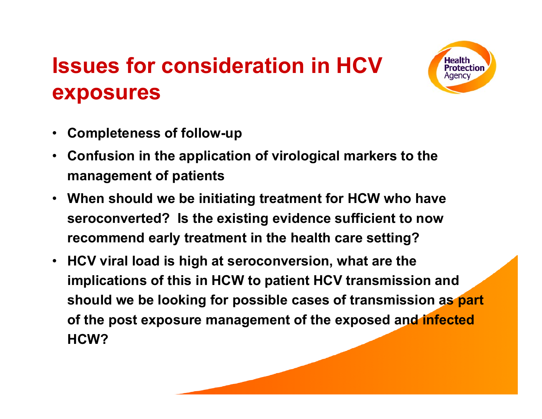## **Issues for consideration in HCV exposures**



- •**Completeness of follow-up**
- • **Confu sion in the application of virological markers to the management of patients**
- **When should we be initiating treatment for HCW who have seroconverted? Is the existing evidence sufficient to now recommend early treatment in the health care setting?**
- $\bullet$  **HCV viral load is high at seroconversion, what are the implications of this in HCW to patient HCV transmission and should we be looking for possible cases of transmission as part of the post exposure management of the exposed and infected HCW?**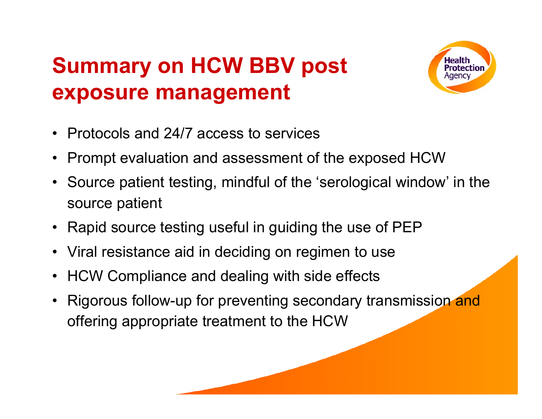# **Summary on HCW BBV post exposure management**



- •Protocols and 24/7 access to services
- •Prompt evaluation and assessment of the exposed HCW
- •Source patient testing, mindful of the 'serological window' in the source patient
- •Rapid source testing useful in guiding the use of PEP
- •Viral resistance aid in deciding on regimen to use
- •HCW Compliance and dealing with side effects
- •Rigorous follow-up for preventing secondary transmission and offering appropriate treatment to the HCW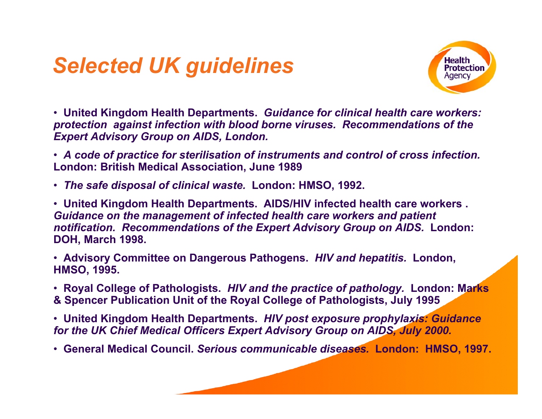### *Selected UK guidelines*



• **United Kingdom Health Departments.** *Guidance for clinical health care workers: protection against infection with blood borne viruses. Recommendations of the Expert Advisory Group on AIDS, London.*

• *A code of practice for sterilisation o f instruments and control of cross infection.*  **London: British Medical Association, June 1989**

• *The safe disposal of clinical waste.*  **London: HMSO, 1992.**

• **United Kingdom Health Departments. AIDS/HIV infected health care workers .**  *Guidance on the management of infected health care workers and patient notification. Recommendations of the Expert Advisory Group on AIDS.* **London: DOH, March 1998.**

• **Advisory Committee on Dangerous Pathogens.** *HIV and hepatitis.* **London, HMSO, 1995.**

• **Royal College of Pathologists.** *HIV and the practice of pathology.* **London: Marks & Spencer Publication Unit of t he Royal College of Pathologists, July 1995**

• **United Kingdom Health Departments.** *HIV post exposure prophylaxis: Guidance for the UK Chief Medical O fficers Expert Advisory Group on AIDS, July 2000.*

• **General Medical Council.** *Serious communicable diseases.* **London: HMSO, 1997.**